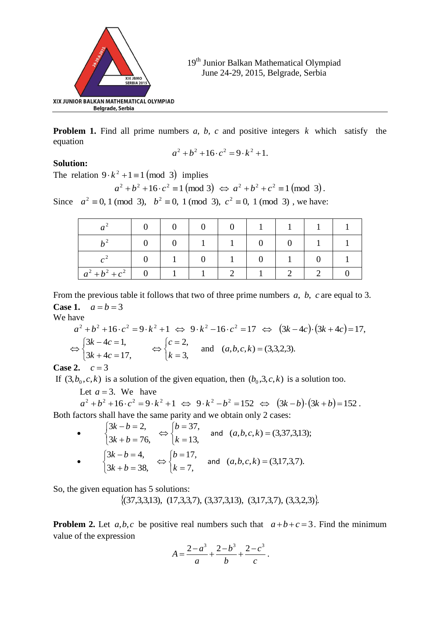

**Problem 1.** Find all prime numbers *a*, *b*, *c* and positive integers *k* which satisfy the equation

$$
a^2 + b^2 + 16 \cdot c^2 = 9 \cdot k^2 + 1.
$$

### **Solution:**

The relation  $9 \cdot k^2 + 1 \equiv 1 \pmod{3}$  implies

 $a^2 + b^2 + 16 \cdot c^2 \equiv 1 \pmod{3} \Leftrightarrow a^2 + b^2 + c^2 \equiv 1 \pmod{3}.$ 

Since  $a^2 \equiv 0, 1 \pmod{3}$ ,  $b^2 \equiv 0, 1 \pmod{3}$ ,  $c^2 \equiv 0, 1 \pmod{3}$ , we have:

| $a^2 + b^2 + c^2$ |  |  |  |  |
|-------------------|--|--|--|--|

From the previous table it follows that two of three prime numbers *a*, *b*, *c* are equal to 3. **Case 1.**  $a = b = 3$ 

We have

$$
a^{2} + b^{2} + 16 \cdot c^{2} = 9 \cdot k^{2} + 1 \iff 9 \cdot k^{2} - 16 \cdot c^{2} = 17 \iff (3k - 4c) \cdot (3k + 4c) = 17,
$$
  
\n
$$
\Leftrightarrow \begin{cases} 3k - 4c = 1, \\ 3k + 4c = 17, \end{cases} \iff \begin{cases} c = 2, \\ k = 3, \end{cases} \text{ and } (a, b, c, k) = (3, 3, 2, 3).
$$

**Case 2.**  $c = 3$ 

If  $(3, b_0, c, k)$  is a solution of the given equation, then  $(b_0, 3, c, k)$  is a solution too.

Let  $a = 3$ . We have

 $a^2 + b^2 + 16 \cdot c^2 = 9 \cdot k^2 + 1 \iff 9 \cdot k^2 - b^2 = 152 \iff (3k - b) \cdot (3k + b) = 152$ . Both factors shall have the same parity and we obtain only 2 cases:

 $\bullet$  $\overline{\mathcal{L}}$ ┤  $\int$  $+ b =$  $-b=$  $3k + b = 76,$  $3k - b = 2$ ,  $k + b$  $k - b$  $\overline{\mathcal{L}}$ ┤  $\left\lceil \right\rceil$  $=$  $=$  $\Leftrightarrow$ 13, 37, *k b* and  $(a,b,c,k) = (3,37,3,13);$  $\bullet$  $\overline{\mathcal{L}}$ ┤  $\left($  $+ b =$  $-b=$  $3k + b = 38,$  $3k - b = 4,$  $k + b$  $k - b$  $\overline{\mathcal{L}}$ ⇃  $\left\lceil \right\rceil$  $=$  $=$  $\Leftrightarrow$ 7, 17, *k b* and  $(a, b, c, k) = (3, 17, 3, 7)$ .

So, the given equation has 5 solutions:

 $\{(37,3,3,13), (17,3,3,7), (3,37,3,13), (3,17,3,7), (3,3,2,3)\}.$ 

**Problem 2.** Let  $a, b, c$  be positive real numbers such that  $a+b+c=3$ . Find the minimum value of the expression

$$
A = \frac{2 - a^3}{a} + \frac{2 - b^3}{b} + \frac{2 - c^3}{c}.
$$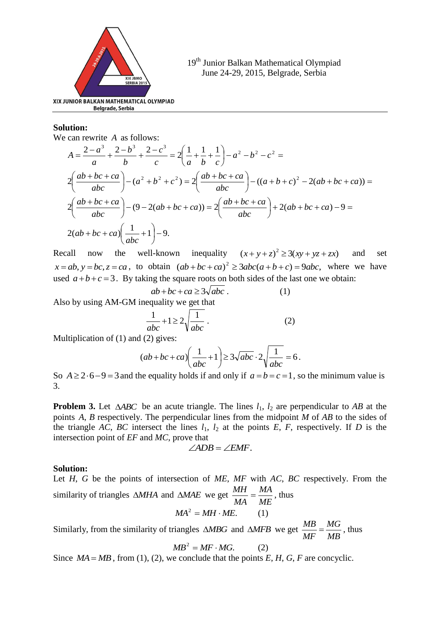

# **Solution:**

We can rewrite *A* as follows:

$$
A = \frac{2 - a^3}{a} + \frac{2 - b^3}{b} + \frac{2 - c^3}{c} = 2\left(\frac{1}{a} + \frac{1}{b} + \frac{1}{c}\right) - a^2 - b^2 - c^2 =
$$
  

$$
2\left(\frac{ab + bc + ca}{abc}\right) - (a^2 + b^2 + c^2) = 2\left(\frac{ab + bc + ca}{abc}\right) - ((a + b + c)^2 - 2(ab + bc + ca)) =
$$
  

$$
2\left(\frac{ab + bc + ca}{abc}\right) - (9 - 2(ab + bc + ca)) = 2\left(\frac{ab + bc + ca}{abc}\right) + 2(ab + bc + ca) - 9 =
$$
  

$$
2(ab + bc + ca)\left(\frac{1}{abc} + 1\right) - 9.
$$

Recall now the well-known inequality  $(x + y + z)^2 \ge 3(xy + yz + zx)$ and set  $x = ab$ ,  $y = bc$ ,  $z = ca$ , to obtain  $(ab + bc + ca)^2 \ge 3abc(a+b+c) = 9abc$ , where we have used  $a+b+c=3$ . By taking the square roots on both sides of the last one we obtain:

$$
ab + bc + ca \ge 3\sqrt{abc} . \tag{1}
$$

Also by using AM-GM inequality we get that

$$
\frac{1}{abc} + 1 \ge 2\sqrt{\frac{1}{abc}}.
$$
 (2)

Multiplication of (1) and (2) gives:

$$
(ab+bc+ca)\left(\frac{1}{abc}+1\right) \ge 3\sqrt{abc} \cdot 2\sqrt{\frac{1}{abc}} = 6.
$$

So  $A \ge 2.6 - 9 = 3$  and the equality holds if and only if  $a = b = c = 1$ , so the minimum value is 3.

**Problem 3.** Let  $\triangle ABC$  be an acute triangle. The lines  $l_1$ ,  $l_2$  are perpendicular to *AB* at the points *A*, *B* respectively. The perpendicular lines from the midpoint *M* of *AB* to the sides of the triangle *AC*, *BC* intersect the lines  $l_1$ ,  $l_2$  at the points *E*, *F*, respectively. If *D* is the intersection point of *EF* and *MC*, prove that

$$
\angle ADB = \angle EMF.
$$

#### **Solution:**

Let *H*, *G* be the points of intersection of *ME*, *MF* with *AC*, *BC* respectively. From the similarity of triangles  $\triangle MHA$  and  $\triangle MAE$  we get *ME MA MA*  $rac{MH}{MA} = \frac{MA}{ME}$ , thus

$$
MA^2 = MH \cdot ME. \tag{1}
$$

Similarly, from the similarity of triangles  $\triangle MBG$  and  $\triangle MFB$  we get *MB MG MF*  $\frac{MB}{\sqrt{AB}} = \frac{MG}{\sqrt{AB}}$ , thus

$$
MB^2 = MF \cdot MG. \tag{2}
$$

Since  $MA = MB$ , from (1), (2), we conclude that the points  $E, H, G, F$  are concyclic.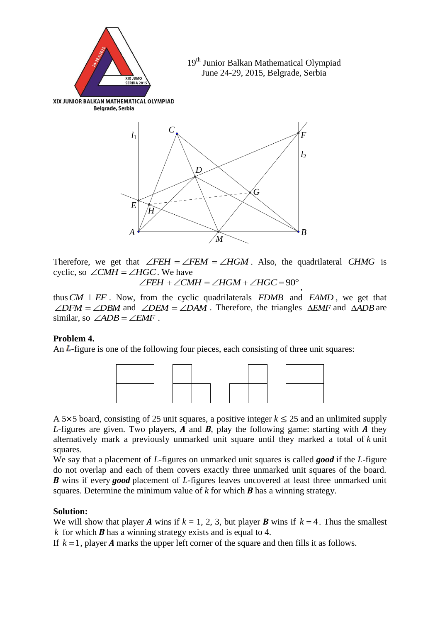

Therefore, we get that  $\angle FEH = \angle FEM = \angle HGM$ . Also, the quadrilateral CHMG is cyclic, so  $\angle CMH = \angle HGC$ . We have

 $\angle FEH + \angle CMH = \angle HGM + \angle HGC = 90^{\circ}$ ,

thus  $CM \perp EF$ . Now, from the cyclic quadrilaterals  $FDMB$  and  $EAMD$ , we get that  $\angle DFM = \angle DBM$  and  $\angle DEM = \angle DAM$ . Therefore, the triangles  $\triangle EMF$  and  $\triangle ADB$  are similar, so  $\angle ADB = \angle EMF$ .

# **Problem 4.**

An  $$ 



A 5 $\times$ 5 board, consisting of 25 unit squares, a positive integer  $k \le 25$  and an unlimited supply *L*-figures are given. Two players, *A* and *B*, play the following game: starting with *A* they alternatively mark a previously unmarked unit square until they marked a total of *k* unit squares.

We say that a placement of *L*-figures on unmarked unit squares is called *good* if the *L*-figure do not overlap and each of them covers exactly three unmarked unit squares of the board. *B* wins if every *good* placement of *L*-figures leaves uncovered at least three unmarked unit squares. Determine the minimum value of *k* for which *B* has a winning strategy.

# **Solution:**

We will show that player *A* wins if  $k = 1, 2, 3$ , but player *B* wins if  $k = 4$ . Thus the smallest *k* for which *B* has a winning strategy exists and is equal to 4.

If  $k = 1$ , player *A* marks the upper left corner of the square and then fills it as follows.